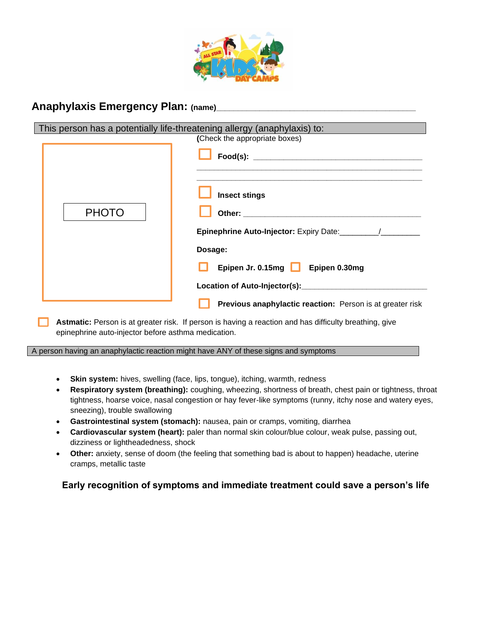

## Anaphylaxis Emergency Plan: (name)

| This person has a potentially life-threatening allergy (anaphylaxis) to:                             |                                                                                                                                                                                                                                      |  |  |  |  |
|------------------------------------------------------------------------------------------------------|--------------------------------------------------------------------------------------------------------------------------------------------------------------------------------------------------------------------------------------|--|--|--|--|
| (Check the appropriate boxes)                                                                        |                                                                                                                                                                                                                                      |  |  |  |  |
|                                                                                                      |                                                                                                                                                                                                                                      |  |  |  |  |
|                                                                                                      | <b>Insect stings</b>                                                                                                                                                                                                                 |  |  |  |  |
| <b>PHOTO</b>                                                                                         | Other: when the contract of the contract of the contract of the contract of the contract of the contract of the contract of the contract of the contract of the contract of the contract of the contract of the contract of th       |  |  |  |  |
|                                                                                                      |                                                                                                                                                                                                                                      |  |  |  |  |
|                                                                                                      | Dosage:                                                                                                                                                                                                                              |  |  |  |  |
|                                                                                                      | Epipen Jr. 0.15mg <b>Life Bridge Bridge Bridge Bridge Bridge Bridge Bridge Bridge Bridge Bridge Bridge Bridge Bridge Bridge Bridge Bridge Bridge Bridge Bridge Bridge Bridge Bridge Bridge Bridge Bridge Bridge Bridge Bridge Br</b> |  |  |  |  |
|                                                                                                      | Location of Auto-Injector(s): __________________                                                                                                                                                                                     |  |  |  |  |
|                                                                                                      | Previous anaphylactic reaction: Person is at greater risk                                                                                                                                                                            |  |  |  |  |
| Astmatic: Person is at greater risk If person is having a reaction and has difficulty breathing give |                                                                                                                                                                                                                                      |  |  |  |  |

**Astmatic:** Person is at greater risk. If person is having a reaction and has difficulty breathing, give epinephrine auto-injector before asthma medication.

A person having an anaphylactic reaction might have ANY of these signs and symptoms

- **Skin system:** hives, swelling (face, lips, tongue), itching, warmth, redness
- **Respiratory system (breathing):** coughing, wheezing, shortness of breath, chest pain or tightness, throat tightness, hoarse voice, nasal congestion or hay fever-like symptoms (runny, itchy nose and watery eyes, sneezing), trouble swallowing
- **Gastrointestinal system (stomach):** nausea, pain or cramps, vomiting, diarrhea
- **Cardiovascular system (heart):** paler than normal skin colour/blue colour, weak pulse, passing out, dizziness or lightheadedness, shock
- **Other:** anxiety, sense of doom (the feeling that something bad is about to happen) headache, uterine cramps, metallic taste

## **Early recognition of symptoms and immediate treatment could save a person's life**